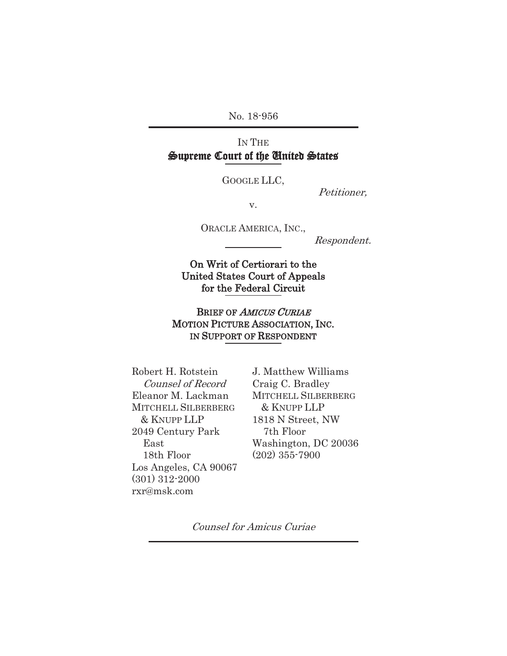No. 18-956 j

# IN THE Supreme Court of the United States

Ī GOOGLE LLC,

Petitioner,

v.

ORACLE AMERICA, INC.,

Respondent.

On Writ of Certiorari to the United States Court of Appeals for the Federal Circuit

Ī

Ī

BRIEF OF AMICUS CURIAE MOTION PICTURE ASSOCIATION, INC. IN SUPPORT OF RESPONDENT

Ī

Robert H. Rotstein Counsel of Record Eleanor M. Lackman MITCHELL SILBERBERG & KNUPP LLP 2049 Century Park East 18th Floor Los Angeles, CA 90067 (301) 312-2000 rxr@msk.com

J. Matthew Williams Craig C. Bradley MITCHELL SILBERBERG & KNUPP LLP 1818 N Street, NW 7th Floor Washington, DC 20036 (202) 355-7900

Counsel for Amicus Curiae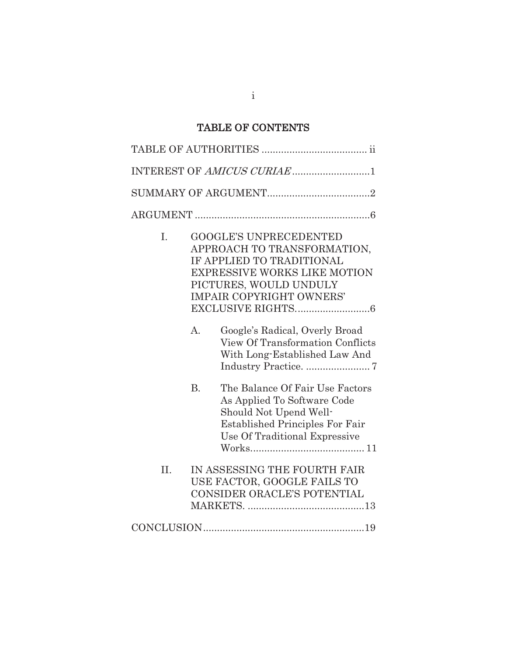# TABLE OF CONTENTS

| INTEREST OF AMICUS CURIAE1 |           |                                                                                                                                                                                               |  |  |
|----------------------------|-----------|-----------------------------------------------------------------------------------------------------------------------------------------------------------------------------------------------|--|--|
|                            |           |                                                                                                                                                                                               |  |  |
|                            |           |                                                                                                                                                                                               |  |  |
| I.                         |           | <b>GOOGLE'S UNPRECEDENTED</b><br>APPROACH TO TRANSFORMATION,<br>IF APPLIED TO TRADITIONAL<br><b>EXPRESSIVE WORKS LIKE MOTION</b><br>PICTURES, WOULD UNDULY<br><b>IMPAIR COPYRIGHT OWNERS'</b> |  |  |
|                            | $A$ .     | Google's Radical, Overly Broad<br><b>View Of Transformation Conflicts</b><br>With Long-Established Law And                                                                                    |  |  |
|                            | <b>B.</b> | The Balance Of Fair Use Factors<br>As Applied To Software Code<br>Should Not Upend Well-<br><b>Established Principles For Fair</b><br>Use Of Traditional Expressive                           |  |  |
| II.                        |           | IN ASSESSING THE FOURTH FAIR<br>USE FACTOR, GOOGLE FAILS TO<br>CONSIDER ORACLE'S POTENTIAL                                                                                                    |  |  |
|                            |           |                                                                                                                                                                                               |  |  |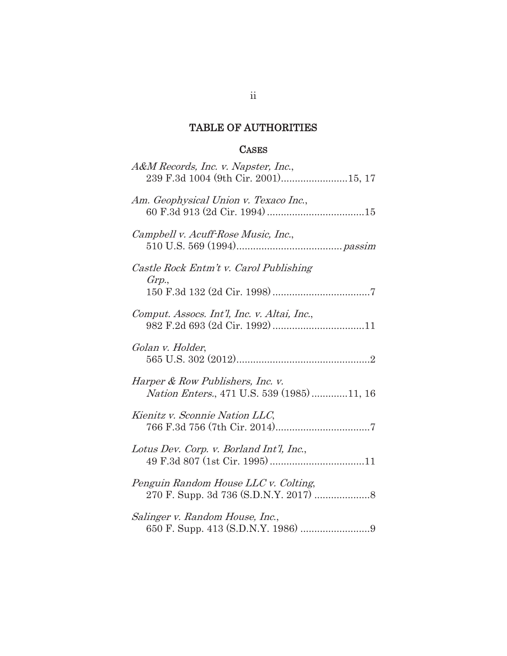# TABLE OF AUTHORITIES

## **CASES**

| A&M Records, Inc. v. Napster, Inc.,                                            |
|--------------------------------------------------------------------------------|
| Am. Geophysical Union v. Texaco Inc.,                                          |
| Campbell v. Acuff-Rose Music, Inc.,                                            |
| Castle Rock Entm't v. Carol Publishing<br>Grp.,                                |
| Comput. Assocs. Int'l, Inc. v. Altai, Inc.,                                    |
| Golan v. Holder,                                                               |
| Harper & Row Publishers, Inc. v.<br>Nation Enters., 471 U.S. 539 (1985) 11, 16 |
| Kienitz v. Sconnie Nation LLC,                                                 |
| Lotus Dev. Corp. v. Borland Int'l, Inc.,                                       |
| Penguin Random House LLC v. Colting,                                           |
| Salinger v. Random House, Inc.,                                                |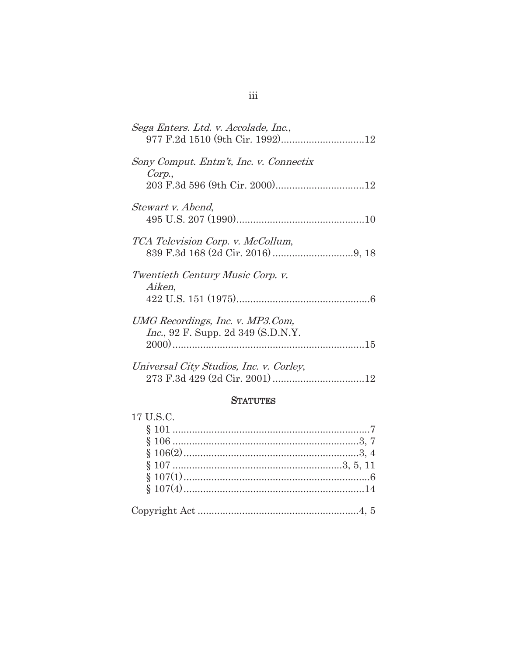| Sega Enters. Ltd. v. Accolade, Inc.,                                           |
|--------------------------------------------------------------------------------|
| Sony Comput. Entm't, Inc. v. Connectix<br>Corp.,                               |
| Stewart v. Abend,                                                              |
|                                                                                |
| TCA Television Corp. v. McCollum,                                              |
| Twentieth Century Music Corp. v.<br>Aiken,                                     |
| UMG Recordings, Inc. v. MP3.Com,<br><i>Inc.</i> , 92 F. Supp. 2d 349 (S.D.N.Y. |
| Universal City Studios, Inc. v. Corley,                                        |

## **STATUTES**

| 17 U.S.C. |  |
|-----------|--|
|           |  |
|           |  |
|           |  |
|           |  |
|           |  |
|           |  |
|           |  |
|           |  |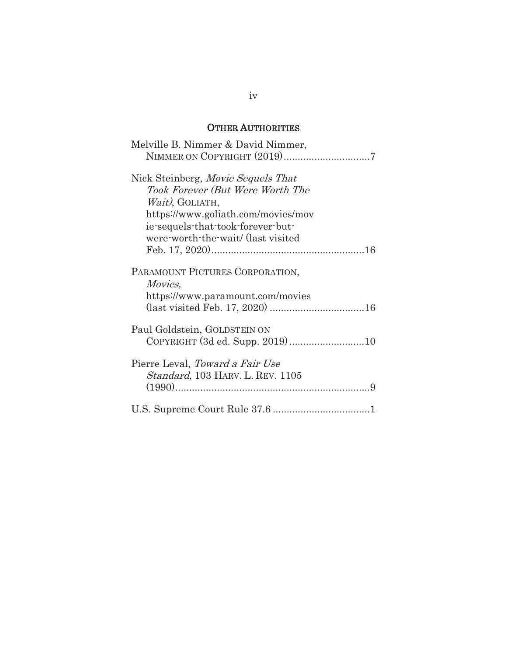## OTHER AUTHORITIES

| Melville B. Nimmer & David Nimmer,                                                                                                                                                                         |
|------------------------------------------------------------------------------------------------------------------------------------------------------------------------------------------------------------|
|                                                                                                                                                                                                            |
| Nick Steinberg, Movie Sequels That<br>Took Forever (But Were Worth The<br>Wait), GOLIATH,<br>https://www.goliath.com/movies/mov<br>ie-sequels-that-took-forever-but-<br>were worth the wait/ (last visited |
| PARAMOUNT PICTURES CORPORATION,<br><i>Movies,</i><br>https://www.paramount.com/movies                                                                                                                      |
| Paul Goldstein, GOLDSTEIN ON<br>COPYRIGHT (3d ed. Supp. 2019)10                                                                                                                                            |
| Pierre Leval, Toward a Fair Use<br><i>Standard</i> , 103 HARV. L. REV. 1105                                                                                                                                |
|                                                                                                                                                                                                            |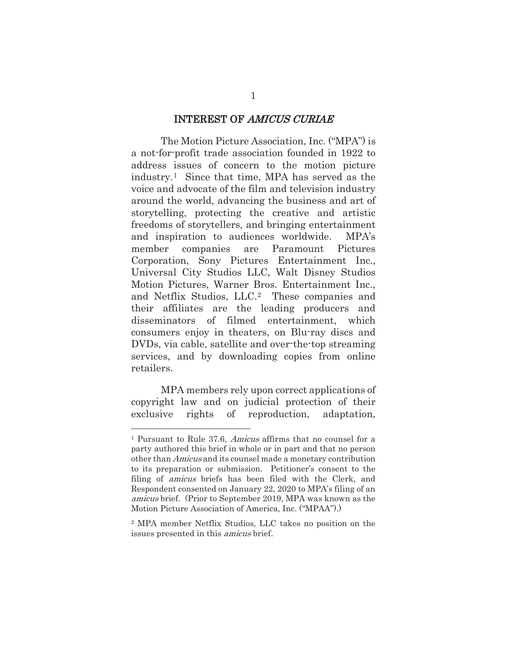#### INTEREST OF AMICUS CURIAE

The Motion Picture Association, Inc. ("MPA") is a not-for-profit trade association founded in 1922 to address issues of concern to the motion picture industry.1 Since that time, MPA has served as the voice and advocate of the film and television industry around the world, advancing the business and art of storytelling, protecting the creative and artistic freedoms of storytellers, and bringing entertainment and inspiration to audiences worldwide. MPA's member companies are Paramount Pictures Corporation, Sony Pictures Entertainment Inc., Universal City Studios LLC, Walt Disney Studios Motion Pictures, Warner Bros. Entertainment Inc., and Netflix Studios, LLC.2 These companies and their affiliates are the leading producers and disseminators of filmed entertainment, which consumers enjoy in theaters, on Blu-ray discs and DVDs, via cable, satellite and over-the-top streaming services, and by downloading copies from online retailers.

MPA members rely upon correct applications of copyright law and on judicial protection of their exclusive rights of reproduction, adaptation,

<sup>1</sup> Pursuant to Rule 37.6, Amicus affirms that no counsel for a party authored this brief in whole or in part and that no person other than Amicus and its counsel made a monetary contribution to its preparation or submission. Petitioner's consent to the filing of *amicus* briefs has been filed with the Clerk, and Respondent consented on January 22, 2020 to MPA's filing of an amicus brief. (Prior to September 2019, MPA was known as the Motion Picture Association of America, Inc. ("MPAA").)

<sup>2</sup> MPA member Netflix Studios, LLC takes no position on the issues presented in this amicus brief.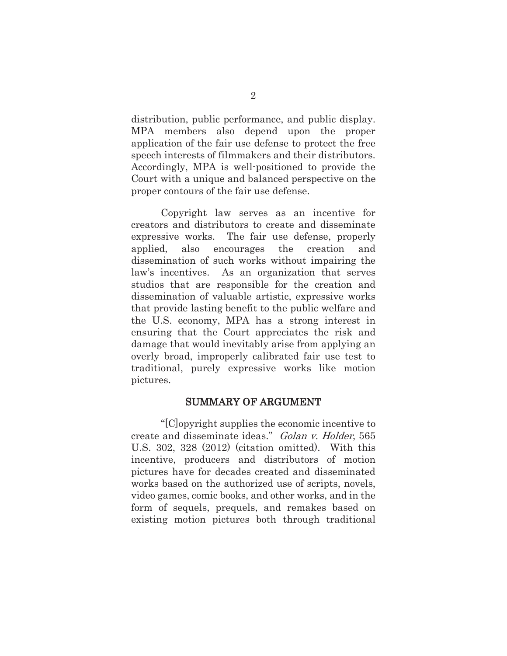distribution, public performance, and public display. MPA members also depend upon the proper application of the fair use defense to protect the free speech interests of filmmakers and their distributors. Accordingly, MPA is well-positioned to provide the Court with a unique and balanced perspective on the proper contours of the fair use defense.

Copyright law serves as an incentive for creators and distributors to create and disseminate expressive works. The fair use defense, properly applied, also encourages the creation and dissemination of such works without impairing the law's incentives. As an organization that serves studios that are responsible for the creation and dissemination of valuable artistic, expressive works that provide lasting benefit to the public welfare and the U.S. economy, MPA has a strong interest in ensuring that the Court appreciates the risk and damage that would inevitably arise from applying an overly broad, improperly calibrated fair use test to traditional, purely expressive works like motion pictures.

### SUMMARY OF ARGUMENT

"[C]opyright supplies the economic incentive to create and disseminate ideas." Golan v. Holder, 565 U.S. 302, 328 (2012) (citation omitted). With this incentive, producers and distributors of motion pictures have for decades created and disseminated works based on the authorized use of scripts, novels, video games, comic books, and other works, and in the form of sequels, prequels, and remakes based on existing motion pictures both through traditional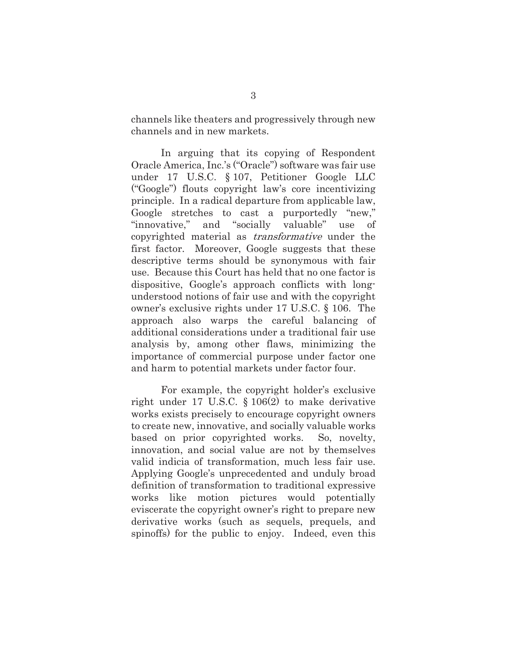channels like theaters and progressively through new channels and in new markets.

In arguing that its copying of Respondent Oracle America, Inc.'s ("Oracle") software was fair use under 17 U.S.C. § 107, Petitioner Google LLC ("Google") flouts copyright law's core incentivizing principle. In a radical departure from applicable law, Google stretches to cast a purportedly "new," "innovative," and "socially valuable" use of copyrighted material as transformative under the first factor. Moreover, Google suggests that these descriptive terms should be synonymous with fair use. Because this Court has held that no one factor is dispositive, Google's approach conflicts with longunderstood notions of fair use and with the copyright owner's exclusive rights under 17 U.S.C. § 106. The approach also warps the careful balancing of additional considerations under a traditional fair use analysis by, among other flaws, minimizing the importance of commercial purpose under factor one and harm to potential markets under factor four.

For example, the copyright holder's exclusive right under 17 U.S.C. § 106(2) to make derivative works exists precisely to encourage copyright owners to create new, innovative, and socially valuable works based on prior copyrighted works. So, novelty, innovation, and social value are not by themselves valid indicia of transformation, much less fair use. Applying Google's unprecedented and unduly broad definition of transformation to traditional expressive works like motion pictures would potentially eviscerate the copyright owner's right to prepare new derivative works (such as sequels, prequels, and spinoffs) for the public to enjoy. Indeed, even this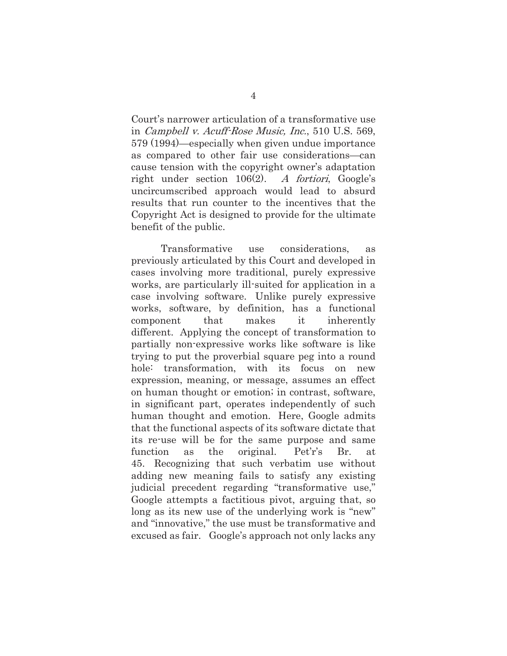Court's narrower articulation of a transformative use in Campbell v. Acuff-Rose Music, Inc., 510 U.S. 569, 579 (1994)—especially when given undue importance as compared to other fair use considerations—can cause tension with the copyright owner's adaptation right under section 106(2). A fortiori, Google's uncircumscribed approach would lead to absurd results that run counter to the incentives that the Copyright Act is designed to provide for the ultimate benefit of the public.

Transformative use considerations, as previously articulated by this Court and developed in cases involving more traditional, purely expressive works, are particularly ill-suited for application in a case involving software. Unlike purely expressive works, software, by definition, has a functional component that makes it inherently different. Applying the concept of transformation to partially non-expressive works like software is like trying to put the proverbial square peg into a round hole: transformation, with its focus on new expression, meaning, or message, assumes an effect on human thought or emotion; in contrast, software, in significant part, operates independently of such human thought and emotion. Here, Google admits that the functional aspects of its software dictate that its re-use will be for the same purpose and same function as the original. Pet'r's Br. at 45. Recognizing that such verbatim use without adding new meaning fails to satisfy any existing judicial precedent regarding "transformative use," Google attempts a factitious pivot, arguing that, so long as its new use of the underlying work is "new" and "innovative," the use must be transformative and excused as fair. Google's approach not only lacks any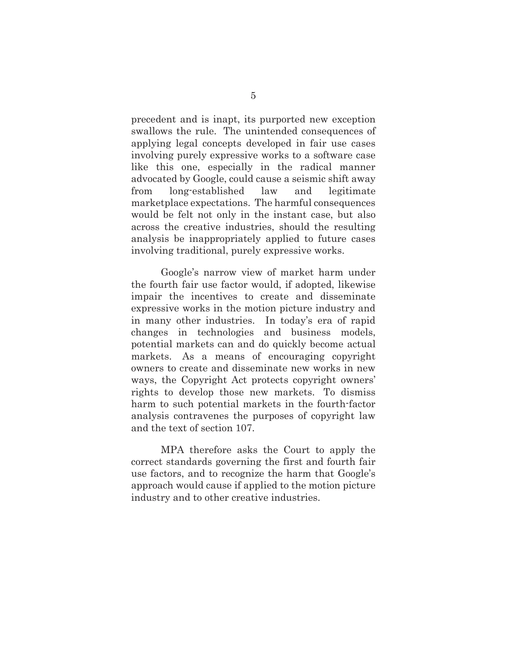precedent and is inapt, its purported new exception swallows the rule. The unintended consequences of applying legal concepts developed in fair use cases involving purely expressive works to a software case like this one, especially in the radical manner advocated by Google, could cause a seismic shift away from long-established law and legitimate marketplace expectations. The harmful consequences would be felt not only in the instant case, but also across the creative industries, should the resulting analysis be inappropriately applied to future cases involving traditional, purely expressive works.

Google's narrow view of market harm under the fourth fair use factor would, if adopted, likewise impair the incentives to create and disseminate expressive works in the motion picture industry and in many other industries. In today's era of rapid changes in technologies and business models, potential markets can and do quickly become actual markets. As a means of encouraging copyright owners to create and disseminate new works in new ways, the Copyright Act protects copyright owners' rights to develop those new markets. To dismiss harm to such potential markets in the fourth-factor analysis contravenes the purposes of copyright law and the text of section 107.

MPA therefore asks the Court to apply the correct standards governing the first and fourth fair use factors, and to recognize the harm that Google's approach would cause if applied to the motion picture industry and to other creative industries.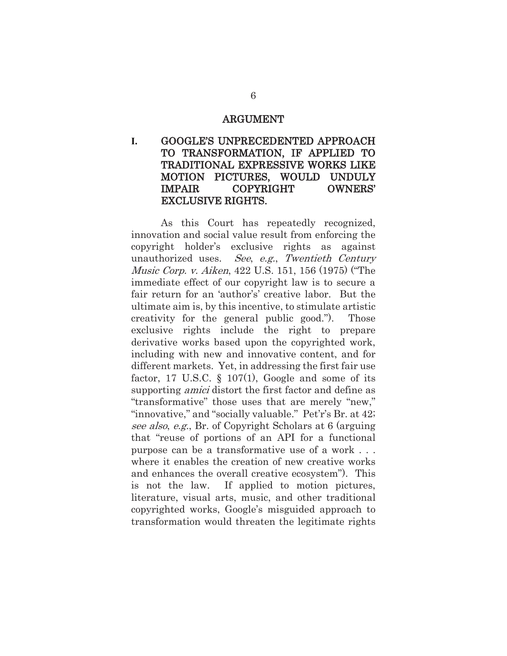#### ARGUMENT

## **I.** GOOGLE'S UNPRECEDENTED APPROACH TO TRANSFORMATION, IF APPLIED TO TRADITIONAL EXPRESSIVE WORKS LIKE MOTION PICTURES, WOULD UNDULY IMPAIR COPYRIGHT OWNERS' EXCLUSIVE RIGHTS.

As this Court has repeatedly recognized, innovation and social value result from enforcing the copyright holder's exclusive rights as against unauthorized uses. See, e.g., Twentieth Century Music Corp. v. Aiken, 422 U.S. 151, 156 (1975) ("The immediate effect of our copyright law is to secure a fair return for an 'author's' creative labor. But the ultimate aim is, by this incentive, to stimulate artistic creativity for the general public good."). Those exclusive rights include the right to prepare derivative works based upon the copyrighted work, including with new and innovative content, and for different markets. Yet, in addressing the first fair use factor, 17 U.S.C.  $\S$  107(1), Google and some of its supporting *amici* distort the first factor and define as "transformative" those uses that are merely "new," "innovative," and "socially valuable." Pet'r's Br. at 42; see also, e.g., Br. of Copyright Scholars at 6 (arguing that "reuse of portions of an API for a functional purpose can be a transformative use of a work . . . where it enables the creation of new creative works and enhances the overall creative ecosystem"). This is not the law. If applied to motion pictures, literature, visual arts, music, and other traditional copyrighted works, Google's misguided approach to transformation would threaten the legitimate rights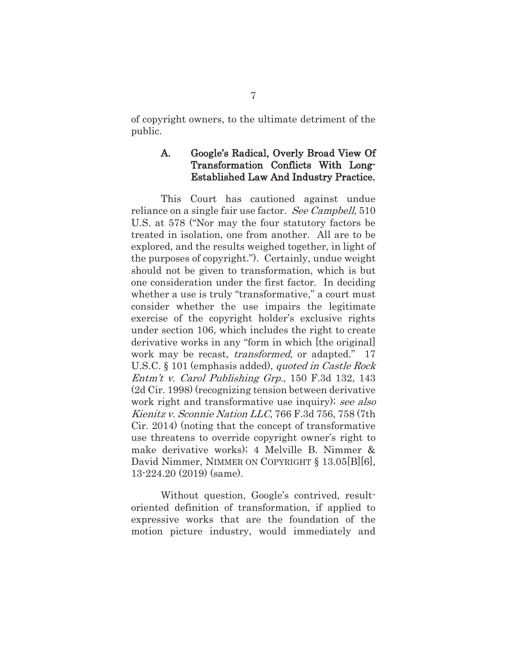of copyright owners, to the ultimate detriment of the public.

### A. Google's Radical, Overly Broad View Of Transformation Conflicts With Long-Established Law And Industry Practice.

This Court has cautioned against undue reliance on a single fair use factor. See Campbell, 510 U.S. at 578 ("Nor may the four statutory factors be treated in isolation, one from another. All are to be explored, and the results weighed together, in light of the purposes of copyright."). Certainly, undue weight should not be given to transformation, which is but one consideration under the first factor. In deciding whether a use is truly "transformative," a court must consider whether the use impairs the legitimate exercise of the copyright holder's exclusive rights under section 106, which includes the right to create derivative works in any "form in which [the original] work may be recast, *transformed*, or adapted." 17 U.S.C. § 101 (emphasis added), *quoted in Castle Rock* Entm't v. Carol Publishing Grp., 150 F.3d 132, 143 (2d Cir. 1998) (recognizing tension between derivative work right and transformative use inquiry); see also Kienitz v. Sconnie Nation LLC, 766 F.3d 756, 758 (7th Cir. 2014) (noting that the concept of transformative use threatens to override copyright owner's right to make derivative works); 4 Melville B. Nimmer & David Nimmer, NIMMER ON COPYRIGHT § 13.05[B][6], 13-224.20 (2019) (same).

Without question, Google's contrived, resultoriented definition of transformation, if applied to expressive works that are the foundation of the motion picture industry, would immediately and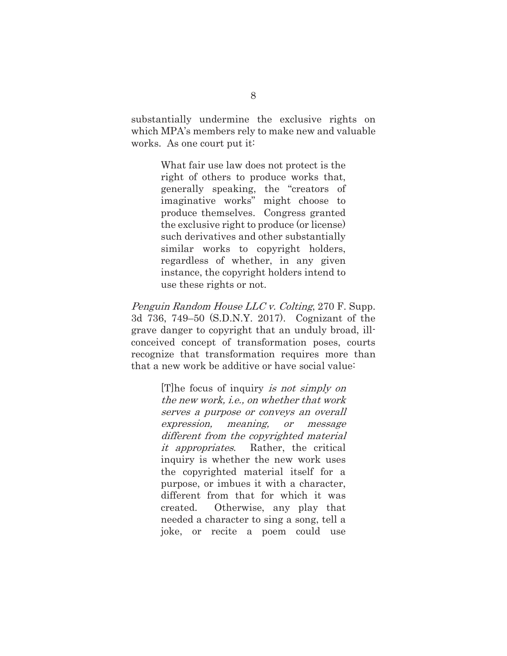substantially undermine the exclusive rights on which MPA's members rely to make new and valuable works. As one court put it:

> What fair use law does not protect is the right of others to produce works that, generally speaking, the "creators of imaginative works" might choose to produce themselves. Congress granted the exclusive right to produce (or license) such derivatives and other substantially similar works to copyright holders, regardless of whether, in any given instance, the copyright holders intend to use these rights or not.

Penguin Random House LLC v. Colting, 270 F. Supp. 3d 736, 749–50 (S.D.N.Y. 2017). Cognizant of the grave danger to copyright that an unduly broad, illconceived concept of transformation poses, courts recognize that transformation requires more than that a new work be additive or have social value:

> [T]he focus of inquiry is not simply on the new work, i.e., on whether that work serves a purpose or conveys an overall expression, meaning, or message different from the copyrighted material it appropriates. Rather, the critical inquiry is whether the new work uses the copyrighted material itself for a purpose, or imbues it with a character, different from that for which it was created. Otherwise, any play that needed a character to sing a song, tell a joke, or recite a poem could use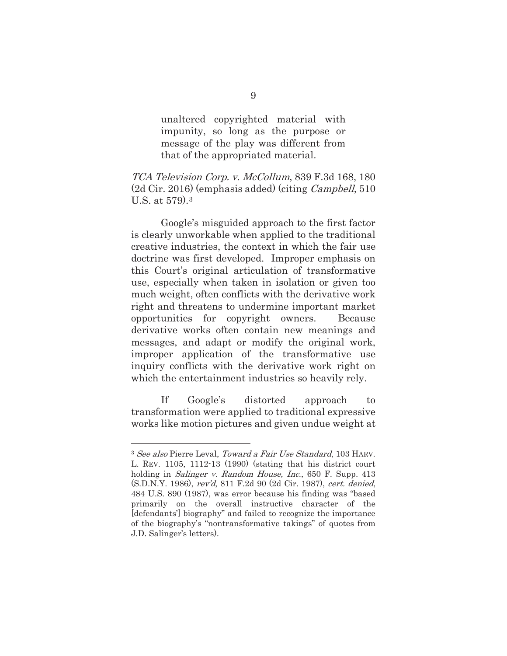unaltered copyrighted material with impunity, so long as the purpose or message of the play was different from that of the appropriated material.

### TCA Television Corp. v. McCollum, 839 F.3d 168, 180 (2d Cir. 2016) (emphasis added) (citing Campbell, 510 U.S. at 579).3

Google's misguided approach to the first factor is clearly unworkable when applied to the traditional creative industries, the context in which the fair use doctrine was first developed. Improper emphasis on this Court's original articulation of transformative use, especially when taken in isolation or given too much weight, often conflicts with the derivative work right and threatens to undermine important market opportunities for copyright owners. Because derivative works often contain new meanings and messages, and adapt or modify the original work, improper application of the transformative use inquiry conflicts with the derivative work right on which the entertainment industries so heavily rely.

If Google's distorted approach to transformation were applied to traditional expressive works like motion pictures and given undue weight at

<sup>3</sup> See also Pierre Leval, Toward a Fair Use Standard, 103 HARV. L. REV. 1105, 1112-13 (1990) (stating that his district court holding in *Salinger v. Random House, Inc.*, 650 F. Supp. 413 (S.D.N.Y. 1986), rev'd, 811 F.2d 90 (2d Cir. 1987), cert. denied, 484 U.S. 890 (1987), was error because his finding was "based primarily on the overall instructive character of the [defendants'] biography" and failed to recognize the importance of the biography's "nontransformative takings" of quotes from J.D. Salinger's letters).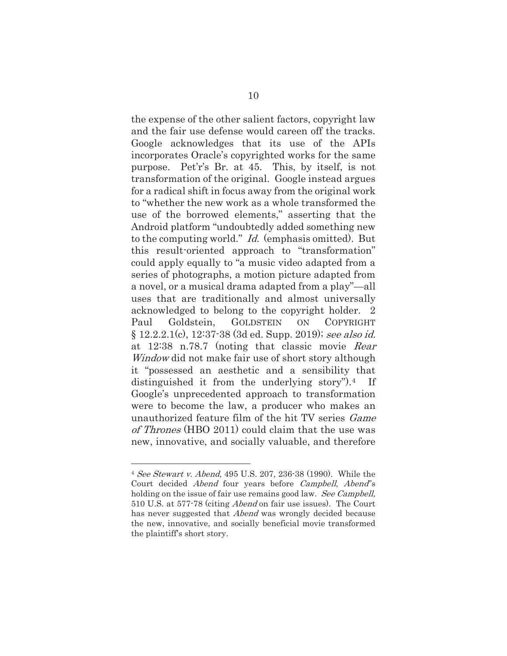the expense of the other salient factors, copyright law and the fair use defense would careen off the tracks. Google acknowledges that its use of the APIs incorporates Oracle's copyrighted works for the same purpose. Pet'r's Br. at 45. This, by itself, is not transformation of the original. Google instead argues for a radical shift in focus away from the original work to "whether the new work as a whole transformed the use of the borrowed elements," asserting that the Android platform "undoubtedly added something new to the computing world." Id. (emphasis omitted). But this result-oriented approach to "transformation" could apply equally to "a music video adapted from a series of photographs, a motion picture adapted from a novel, or a musical drama adapted from a play"—all uses that are traditionally and almost universally acknowledged to belong to the copyright holder. 2 Paul Goldstein, GOLDSTEIN ON COPYRIGHT  $\S 12.2.2.1(c), 12.37.38$  (3d ed. Supp. 2019); see also id. at 12:38 n.78.7 (noting that classic movie Rear Window did not make fair use of short story although it "possessed an aesthetic and a sensibility that distinguished it from the underlying story").4 If Google's unprecedented approach to transformation were to become the law, a producer who makes an unauthorized feature film of the hit TV series Game of Thrones (HBO 2011) could claim that the use was new, innovative, and socially valuable, and therefore

<sup>4</sup> See Stewart v. Abend, 495 U.S. 207, 236-38 (1990). While the Court decided Abend four years before Campbell, Abend''s holding on the issue of fair use remains good law. See Campbell, 510 U.S. at 577-78 (citing Abend on fair use issues). The Court has never suggested that *Abend* was wrongly decided because the new, innovative, and socially beneficial movie transformed the plaintiff's short story.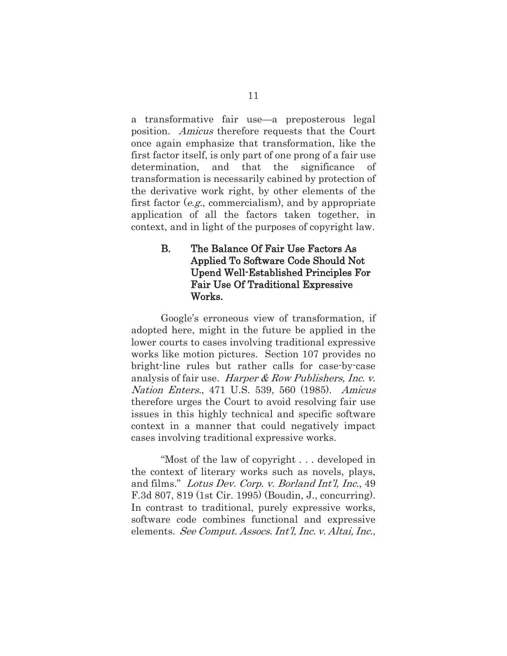a transformative fair use—a preposterous legal position. Amicus therefore requests that the Court once again emphasize that transformation, like the first factor itself, is only part of one prong of a fair use determination, and that the significance of transformation is necessarily cabined by protection of the derivative work right, by other elements of the first factor (e.g., commercialism), and by appropriate application of all the factors taken together, in context, and in light of the purposes of copyright law.

## B. The Balance Of Fair Use Factors As Applied To Software Code Should Not Upend Well-Established Principles For Fair Use Of Traditional Expressive Works.

Google's erroneous view of transformation, if adopted here, might in the future be applied in the lower courts to cases involving traditional expressive works like motion pictures. Section 107 provides no bright-line rules but rather calls for case-by-case analysis of fair use. Harper & Row Publishers, Inc. v. Nation Enters., 471 U.S. 539, 560 (1985). Amicus therefore urges the Court to avoid resolving fair use issues in this highly technical and specific software context in a manner that could negatively impact cases involving traditional expressive works.

"Most of the law of copyright . . . developed in the context of literary works such as novels, plays, and films." Lotus Dev. Corp. v. Borland Int'l, Inc., 49 F.3d 807, 819 (1st Cir. 1995) (Boudin, J., concurring). In contrast to traditional, purely expressive works, software code combines functional and expressive elements. See Comput. Assocs. Int'l, Inc. v. Altai, Inc.,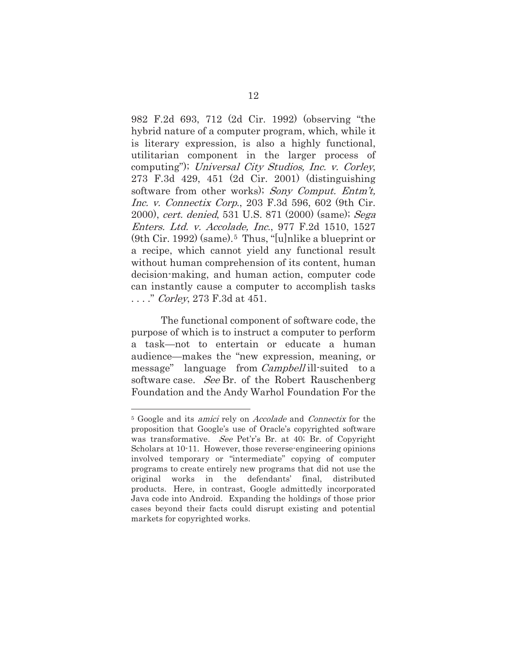982 F.2d 693, 712 (2d Cir. 1992) (observing "the hybrid nature of a computer program, which, while it is literary expression, is also a highly functional, utilitarian component in the larger process of computing"); Universal City Studios, Inc. v. Corley, 273 F.3d 429, 451 (2d Cir. 2001) (distinguishing software from other works); Sony Comput. Entm't, Inc. v. Connectix Corp., 203 F.3d 596, 602 (9th Cir. 2000), cert. denied, 531 U.S. 871 (2000) (same); Sega Enters. Ltd. v. Accolade, Inc., 977 F.2d 1510, 1527  $(9th Cir. 1992)$  (same).<sup>5</sup> Thus, "[u]nlike a blueprint or a recipe, which cannot yield any functional result without human comprehension of its content, human decision-making, and human action, computer code can instantly cause a computer to accomplish tasks ...." *Corley*, 273 F.3d at 451.

The functional component of software code, the purpose of which is to instruct a computer to perform a task—not to entertain or educate a human audience—makes the "new expression, meaning, or message" language from *Campbell* ill-suited to a software case. See Br. of the Robert Rauschenberg Foundation and the Andy Warhol Foundation For the

<sup>&</sup>lt;sup>5</sup> Google and its *amici* rely on *Accolade* and *Connectix* for the proposition that Google's use of Oracle's copyrighted software was transformative. See Pet'r's Br. at 40; Br. of Copyright Scholars at 10-11. However, those reverse-engineering opinions involved temporary or "intermediate" copying of computer programs to create entirely new programs that did not use the original works in the defendants' final, distributed products. Here, in contrast, Google admittedly incorporated Java code into Android. Expanding the holdings of those prior cases beyond their facts could disrupt existing and potential markets for copyrighted works.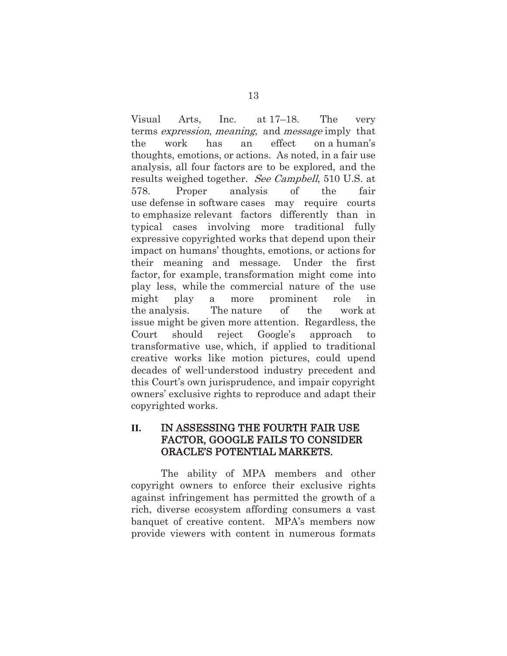Visual Arts, Inc. at 17–18. The very terms expression, meaning, and message imply that the work has an effect on a human's thoughts, emotions, or actions. As noted, in a fair use analysis, all four factors are to be explored, and the results weighed together. See Campbell, 510 U.S. at 578. Proper analysis of the fair use defense in software cases may require courts to emphasize relevant factors differently than in typical cases involving more traditional fully expressive copyrighted works that depend upon their impact on humans' thoughts, emotions, or actions for their meaning and message. Under the first factor, for example, transformation might come into play less, while the commercial nature of the use might play a more prominent role in the analysis. The nature of the work at issue might be given more attention. Regardless, the Court should reject Google's approach transformative use, which, if applied to traditional creative works like motion pictures, could upend decades of well-understood industry precedent and this Court's own jurisprudence, and impair copyright owners' exclusive rights to reproduce and adapt their copyrighted works.

### **II.** IN ASSESSING THE FOURTH FAIR USE FACTOR, GOOGLE FAILS TO CONSIDER ORACLE'S POTENTIAL MARKETS.

The ability of MPA members and other copyright owners to enforce their exclusive rights against infringement has permitted the growth of a rich, diverse ecosystem affording consumers a vast banquet of creative content. MPA's members now provide viewers with content in numerous formats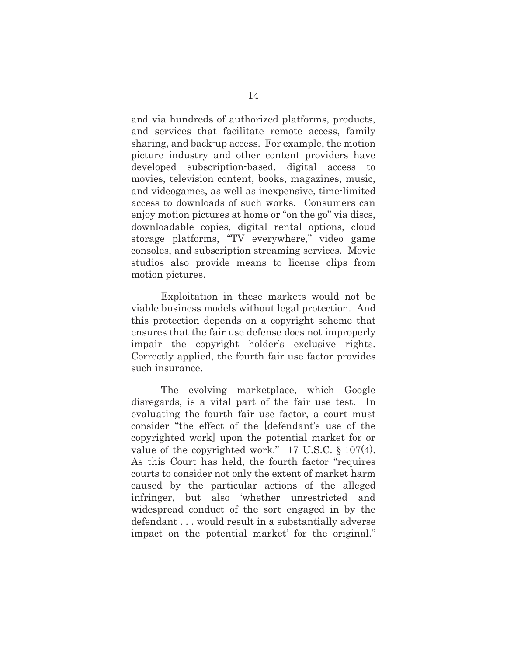and via hundreds of authorized platforms, products, and services that facilitate remote access, family sharing, and back-up access. For example, the motion picture industry and other content providers have developed subscription-based, digital access to movies, television content, books, magazines, music, and videogames, as well as inexpensive, time-limited access to downloads of such works. Consumers can enjoy motion pictures at home or "on the go" via discs, downloadable copies, digital rental options, cloud storage platforms, "TV everywhere," video game consoles, and subscription streaming services. Movie studios also provide means to license clips from motion pictures.

Exploitation in these markets would not be viable business models without legal protection. And this protection depends on a copyright scheme that ensures that the fair use defense does not improperly impair the copyright holder's exclusive rights. Correctly applied, the fourth fair use factor provides such insurance.

The evolving marketplace, which Google disregards, is a vital part of the fair use test. In evaluating the fourth fair use factor, a court must consider "the effect of the [defendant's use of the copyrighted work] upon the potential market for or value of the copyrighted work." 17 U.S.C. § 107(4). As this Court has held, the fourth factor "requires courts to consider not only the extent of market harm caused by the particular actions of the alleged infringer, but also 'whether unrestricted and widespread conduct of the sort engaged in by the defendant . . . would result in a substantially adverse impact on the potential market' for the original."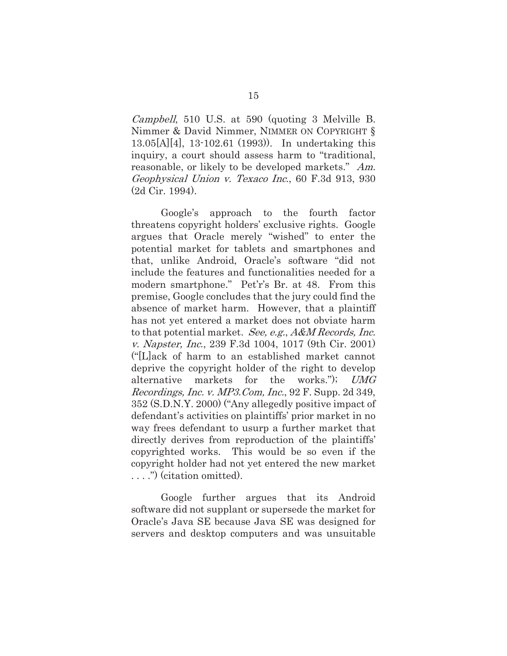Campbell, 510 U.S. at 590 (quoting 3 Melville B. Nimmer & David Nimmer, NIMMER ON COPYRIGHT § 13.05[A][4], 13-102.61 (1993)). In undertaking this inquiry, a court should assess harm to "traditional, reasonable, or likely to be developed markets." Am. Geophysical Union v. Texaco Inc., 60 F.3d 913, 930 (2d Cir. 1994).

Google's approach to the fourth factor threatens copyright holders' exclusive rights. Google argues that Oracle merely "wished" to enter the potential market for tablets and smartphones and that, unlike Android, Oracle's software "did not include the features and functionalities needed for a modern smartphone." Pet'r's Br. at 48. From this premise, Google concludes that the jury could find the absence of market harm. However, that a plaintiff has not yet entered a market does not obviate harm to that potential market. See, e.g., A&M Records, Inc. v. Napster, Inc., 239 F.3d 1004, 1017 (9th Cir. 2001) ("[L]ack of harm to an established market cannot deprive the copyright holder of the right to develop alternative markets for the works."); UMG Recordings, Inc. v. MP3.Com, Inc., 92 F. Supp. 2d 349, 352 (S.D.N.Y. 2000) ("Any allegedly positive impact of defendant's activities on plaintiffs' prior market in no way frees defendant to usurp a further market that directly derives from reproduction of the plaintiffs' copyrighted works. This would be so even if the copyright holder had not yet entered the new market . . . .") (citation omitted).

Google further argues that its Android software did not supplant or supersede the market for Oracle's Java SE because Java SE was designed for servers and desktop computers and was unsuitable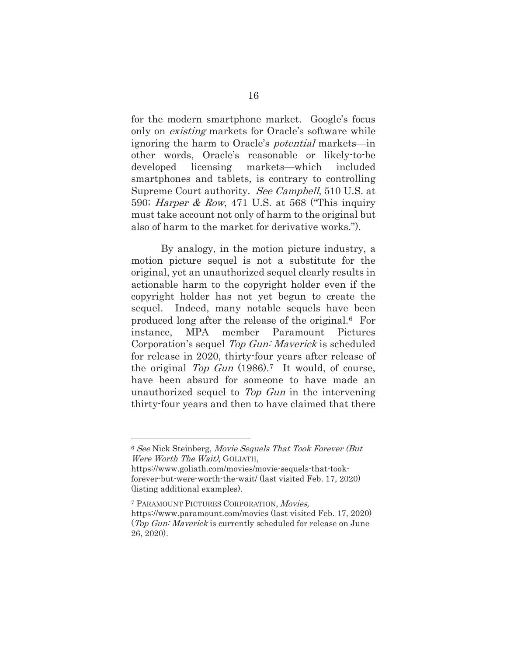for the modern smartphone market. Google's focus only on existing markets for Oracle's software while ignoring the harm to Oracle's potential markets—in other words, Oracle's reasonable or likely-to-be developed licensing markets—which included smartphones and tablets, is contrary to controlling Supreme Court authority. See Campbell, 510 U.S. at 590; Harper & Row, 471 U.S. at 568 ("This inquiry must take account not only of harm to the original but also of harm to the market for derivative works.").

By analogy, in the motion picture industry, a motion picture sequel is not a substitute for the original, yet an unauthorized sequel clearly results in actionable harm to the copyright holder even if the copyright holder has not yet begun to create the sequel. Indeed, many notable sequels have been produced long after the release of the original.6 For instance, MPA member Paramount Pictures Corporation's sequel Top Gun: Maverick is scheduled for release in 2020, thirty-four years after release of the original Top Gun  $(1986)$ .<sup>7</sup> It would, of course, have been absurd for someone to have made an unauthorized sequel to Top Gun in the intervening thirty-four years and then to have claimed that there

<sup>6</sup> See Nick Steinberg, Movie Sequels That Took Forever (But Were Worth The Wait), GOLIATH,

https://www.goliath.com/movies/movie-sequels-that-tookforever-but-were-worth-the-wait/ (last visited Feb. 17, 2020) (listing additional examples).

<sup>7</sup> PARAMOUNT PICTURES CORPORATION, Movies, https://www.paramount.com/movies (last visited Feb. 17, 2020) (Top Gun: Maverick is currently scheduled for release on June 26, 2020).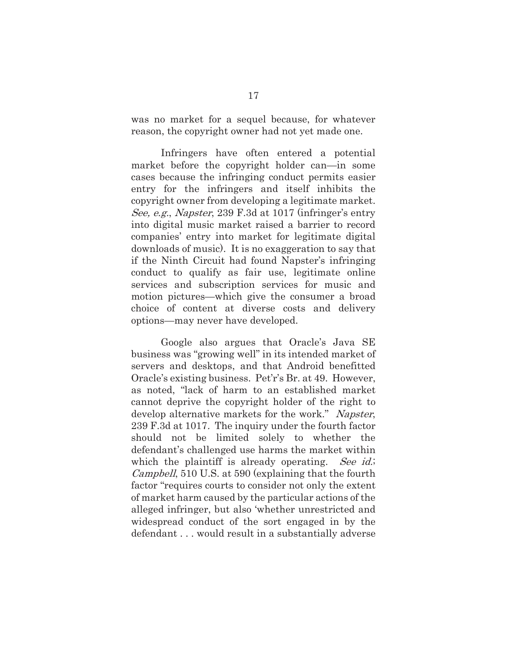was no market for a sequel because, for whatever reason, the copyright owner had not yet made one.

Infringers have often entered a potential market before the copyright holder can—in some cases because the infringing conduct permits easier entry for the infringers and itself inhibits the copyright owner from developing a legitimate market. See, e.g., Napster, 239 F.3d at 1017 (infringer's entry into digital music market raised a barrier to record companies' entry into market for legitimate digital downloads of music). It is no exaggeration to say that if the Ninth Circuit had found Napster's infringing conduct to qualify as fair use, legitimate online services and subscription services for music and motion pictures—which give the consumer a broad choice of content at diverse costs and delivery options—may never have developed.

Google also argues that Oracle's Java SE business was "growing well" in its intended market of servers and desktops, and that Android benefitted Oracle's existing business. Pet'r's Br. at 49. However, as noted, "lack of harm to an established market cannot deprive the copyright holder of the right to develop alternative markets for the work." Napster, 239 F.3d at 1017. The inquiry under the fourth factor should not be limited solely to whether the defendant's challenged use harms the market within which the plaintiff is already operating. See id.; Campbell, 510 U.S. at 590 (explaining that the fourth factor "requires courts to consider not only the extent of market harm caused by the particular actions of the alleged infringer, but also 'whether unrestricted and widespread conduct of the sort engaged in by the defendant . . . would result in a substantially adverse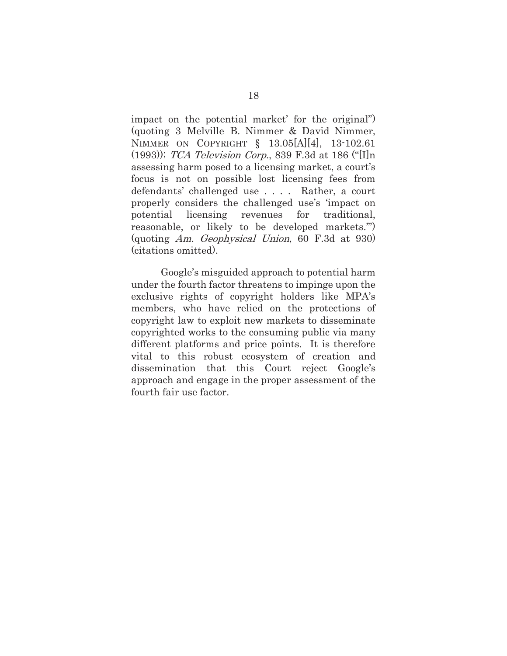impact on the potential market' for the original") (quoting 3 Melville B. Nimmer & David Nimmer, NIMMER ON COPYRIGHT § 13.05[A][4], 13-102.61 (1993)); TCA Television Corp., 839 F.3d at 186 ("[I]n assessing harm posed to a licensing market, a court's focus is not on possible lost licensing fees from defendants' challenged use . . . . Rather, a court properly considers the challenged use's 'impact on potential licensing revenues for traditional, reasonable, or likely to be developed markets.'") (quoting Am. Geophysical Union, 60 F.3d at 930) (citations omitted).

Google's misguided approach to potential harm under the fourth factor threatens to impinge upon the exclusive rights of copyright holders like MPA's members, who have relied on the protections of copyright law to exploit new markets to disseminate copyrighted works to the consuming public via many different platforms and price points. It is therefore vital to this robust ecosystem of creation and dissemination that this Court reject Google's approach and engage in the proper assessment of the fourth fair use factor.